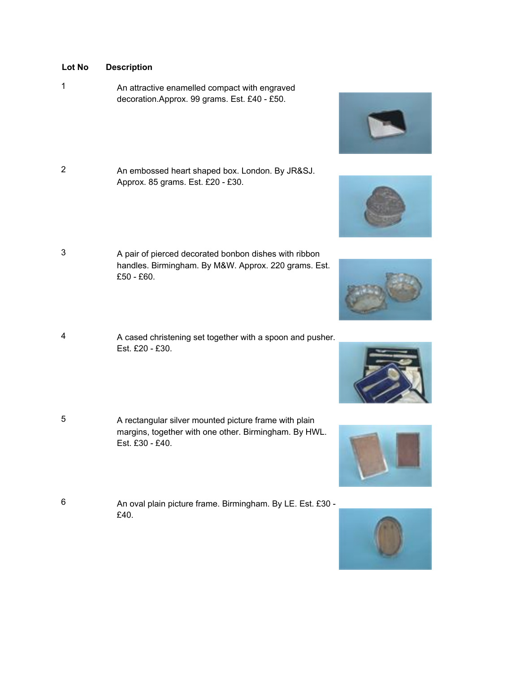- **Lot No Description**
- <sup>1</sup> An attractive enamelled compact with engraved decoration.Approx. 99 grams. Est. £40 - £50.
- <sup>2</sup> An embossed heart shaped box. London. By JR&SJ. Approx. 85 grams. Est. £20 - £30.
- <sup>3</sup> A pair of pierced decorated bonbon dishes with ribbon handles. Birmingham. By M&W. Approx. 220 grams. Est. £50 - £60.
- <sup>4</sup> A cased christening set together with a spoon and pusher. Est. £20 - £30.
- 5 A rectangular silver mounted picture frame with plain margins, together with one other. Birmingham. By HWL. Est. £30 - £40.
- <sup>6</sup> An oval plain picture frame. Birmingham. By LE. Est. £30 £40.











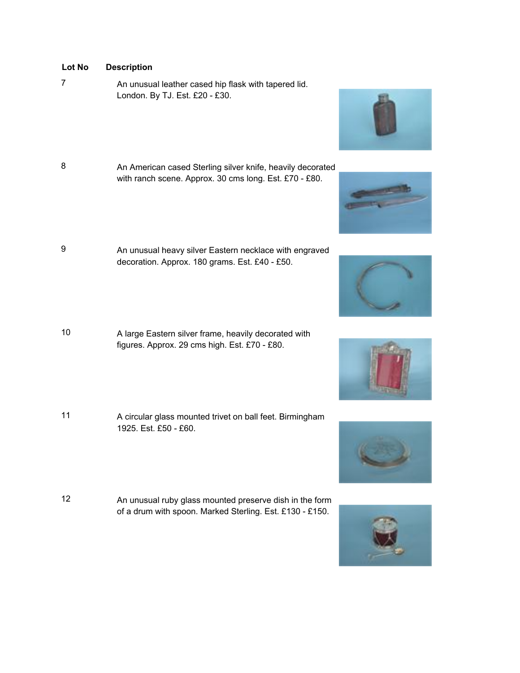7 An unusual leather cased hip flask with tapered lid. London. By TJ. Est. £20 - £30.

- 8 An American cased Sterling silver knife, heavily decorated with ranch scene. Approx. 30 cms long. Est. £70 - £80.
- 9 **An unusual heavy silver Eastern necklace with engraved** decoration. Approx. 180 grams. Est. £40 - £50.
- <sup>10</sup> A large Eastern silver frame, heavily decorated with figures. Approx. 29 cms high. Est. £70 - £80.
- <sup>11</sup> A circular glass mounted trivet on ball feet. Birmingham 1925. Est. £50 - £60.
- <sup>12</sup> An unusual ruby glass mounted preserve dish in the form of a drum with spoon. Marked Sterling. Est. £130 - £150.











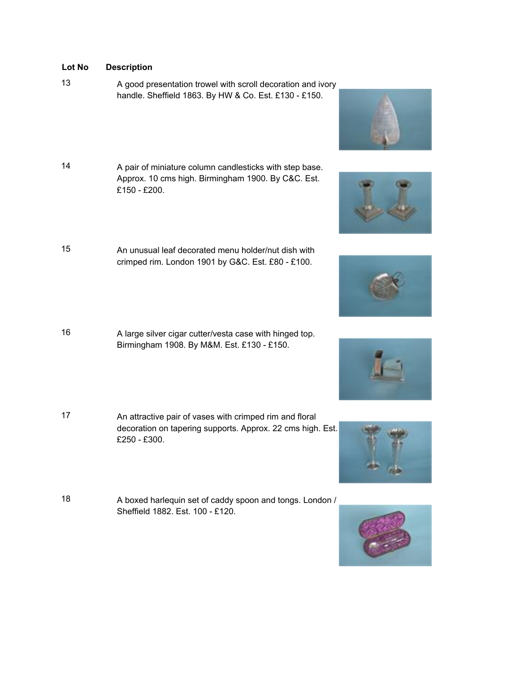<sup>13</sup> A good presentation trowel with scroll decoration and ivory handle. Sheffield 1863. By HW & Co. Est. £130 - £150.

- 14 A pair of miniature column candlesticks with step base. Approx. 10 cms high. Birmingham 1900. By C&C. Est. £150 - £200.
- 15 An unusual leaf decorated menu holder/nut dish with crimped rim. London 1901 by G&C. Est. £80 - £100.
- <sup>16</sup> A large silver cigar cutter/vesta case with hinged top. Birmingham 1908. By M&M. Est. £130 - £150.
- <sup>17</sup> An attractive pair of vases with crimped rim and floral decoration on tapering supports. Approx. 22 cms high. Est. £250 - £300.
- <sup>18</sup> A boxed harlequin set of caddy spoon and tongs. London / Sheffield 1882. Est. 100 - £120.











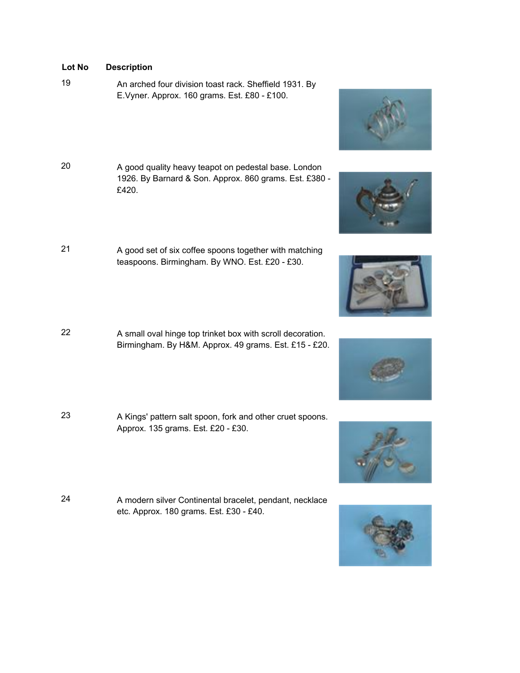- <sup>19</sup> An arched four division toast rack. Sheffield 1931. By E.Vyner. Approx. 160 grams. Est. £80 - £100.
- <sup>20</sup> A good quality heavy teapot on pedestal base. London 1926. By Barnard & Son. Approx. 860 grams. Est. £380 - £420.
- <sup>21</sup> A good set of six coffee spoons together with matching teaspoons. Birmingham. By WNO. Est. £20 - £30.
- <sup>22</sup> A small oval hinge top trinket box with scroll decoration. Birmingham. By H&M. Approx. 49 grams. Est. £15 - £20.
- <sup>23</sup> A Kings' pattern salt spoon, fork and other cruet spoons. Approx. 135 grams. Est. £20 - £30.
- <sup>24</sup> A modern silver Continental bracelet, pendant, necklace etc. Approx. 180 grams. Est. £30 - £40.











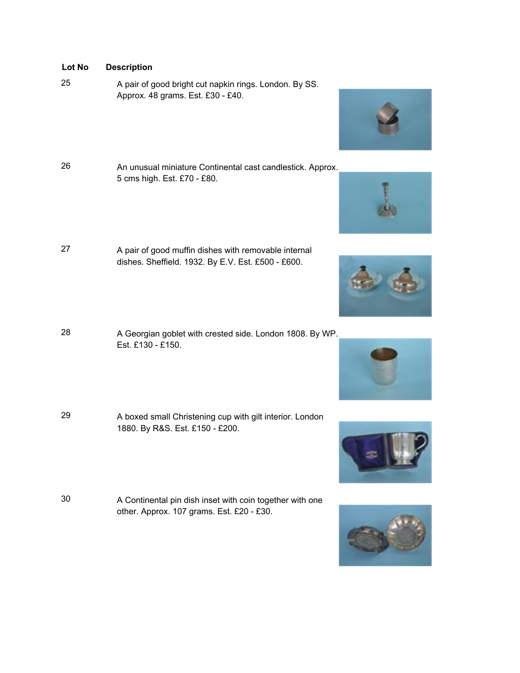- <sup>25</sup> A pair of good bright cut napkin rings. London. By SS. Approx. 48 grams. Est. £30 - £40.
- <sup>26</sup> An unusual miniature Continental cast candlestick. Approx. 5 cms high. Est. £70 - £80.
- <sup>27</sup> A pair of good muffin dishes with removable internal dishes. Sheffield. 1932. By E.V. Est. £500 - £600.
- <sup>28</sup> A Georgian goblet with crested side. London 1808. By WP. Est. £130 - £150.
- <sup>29</sup> A boxed small Christening cup with gilt interior. London 1880. By R&S. Est. £150 - £200.
- <sup>30</sup> A Continental pin dish inset with coin together with one other. Approx. 107 grams. Est. £20 - £30.











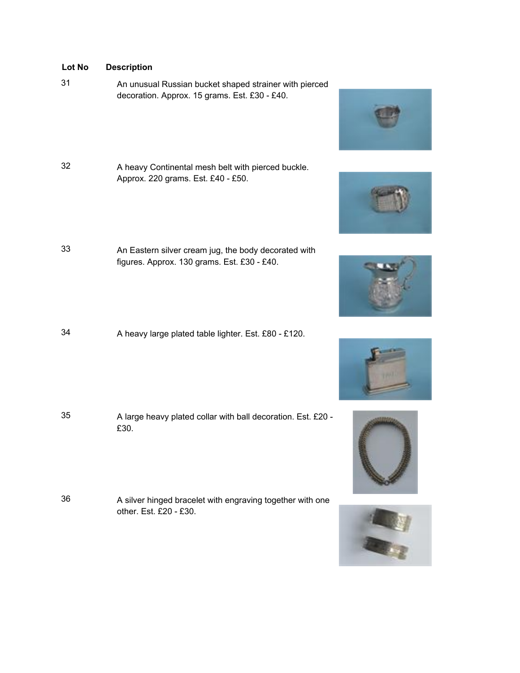- <sup>31</sup> An unusual Russian bucket shaped strainer with pierced decoration. Approx. 15 grams. Est. £30 - £40.
- <sup>32</sup> A heavy Continental mesh belt with pierced buckle. Approx. 220 grams. Est. £40 - £50.
- <sup>33</sup> An Eastern silver cream jug, the body decorated with figures. Approx. 130 grams. Est. £30 - £40.
- <sup>34</sup> A heavy large plated table lighter. Est. £80 £120.

- <sup>35</sup> A large heavy plated collar with ball decoration. Est. £20 £30.
- <sup>36</sup> A silver hinged bracelet with engraving together with one other. Est. £20 - £30.











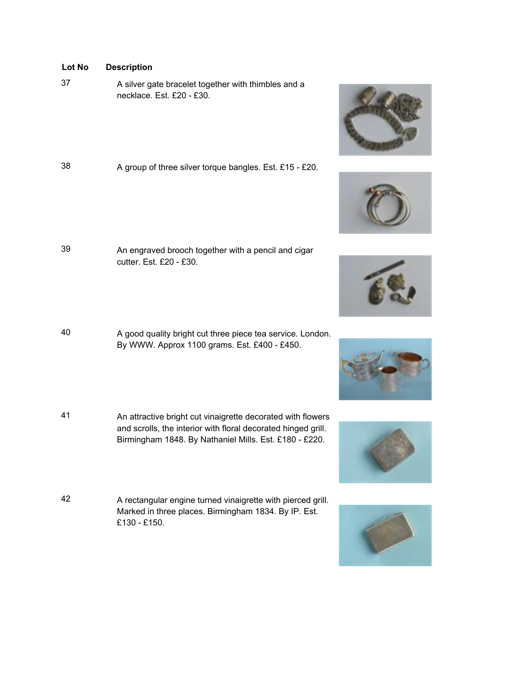<sup>37</sup> A silver gate bracelet together with thimbles and a necklace. Est. £20 - £30.

| 38 | A group of three silver torque bangles. Est. £15 - £20. |  |
|----|---------------------------------------------------------|--|
|    |                                                         |  |

- <sup>39</sup> An engraved brooch together with a pencil and cigar cutter. Est. £20 - £30.
- <sup>40</sup> A good quality bright cut three piece tea service. London. By WWW. Approx 1100 grams. Est. £400 - £450.
- <sup>41</sup> An attractive bright cut vinaigrette decorated with flowers and scrolls, the interior with floral decorated hinged grill. Birmingham 1848. By Nathaniel Mills. Est. £180 - £220.
- <sup>42</sup> A rectangular engine turned vinaigrette with pierced grill. Marked in three places. Birmingham 1834. By IP. Est. £130 - £150.











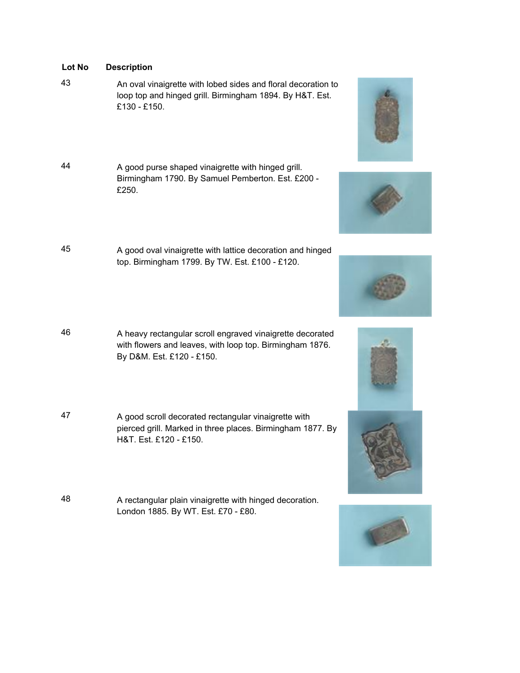- <sup>43</sup> An oval vinaigrette with lobed sides and floral decoration to loop top and hinged grill. Birmingham 1894. By H&T. Est. £130 - £150.
- <sup>44</sup> A good purse shaped vinaigrette with hinged grill. Birmingham 1790. By Samuel Pemberton. Est. £200 - £250.
- <sup>45</sup> A good oval vinaigrette with lattice decoration and hinged top. Birmingham 1799. By TW. Est. £100 - £120.
- <sup>46</sup> A heavy rectangular scroll engraved vinaigrette decorated with flowers and leaves, with loop top. Birmingham 1876. By D&M. Est. £120 - £150.
- <sup>47</sup> A good scroll decorated rectangular vinaigrette with pierced grill. Marked in three places. Birmingham 1877. By H&T. Est. £120 - £150.
- <sup>48</sup> A rectangular plain vinaigrette with hinged decoration. London 1885. By WT. Est. £70 - £80.











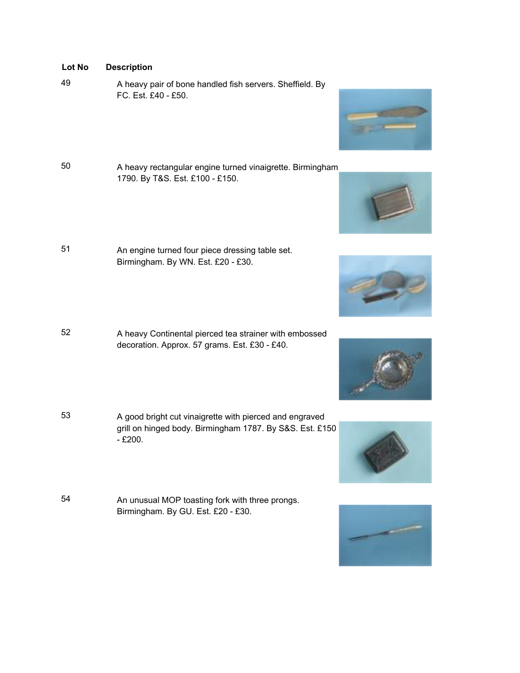- **Lot No Description**
- 
- <sup>49</sup> A heavy pair of bone handled fish servers. Sheffield. By FC. Est. £40 - £50.
- <sup>50</sup> A heavy rectangular engine turned vinaigrette. Birmingham 1790. By T&S. Est. £100 - £150.
- <sup>51</sup> An engine turned four piece dressing table set. Birmingham. By WN. Est. £20 - £30.
- <sup>52</sup> A heavy Continental pierced tea strainer with embossed decoration. Approx. 57 grams. Est. £30 - £40.
- <sup>53</sup> A good bright cut vinaigrette with pierced and engraved grill on hinged body. Birmingham 1787. By S&S. Est. £150 - £200.
- <sup>54</sup> An unusual MOP toasting fork with three prongs. Birmingham. By GU. Est. £20 - £30.







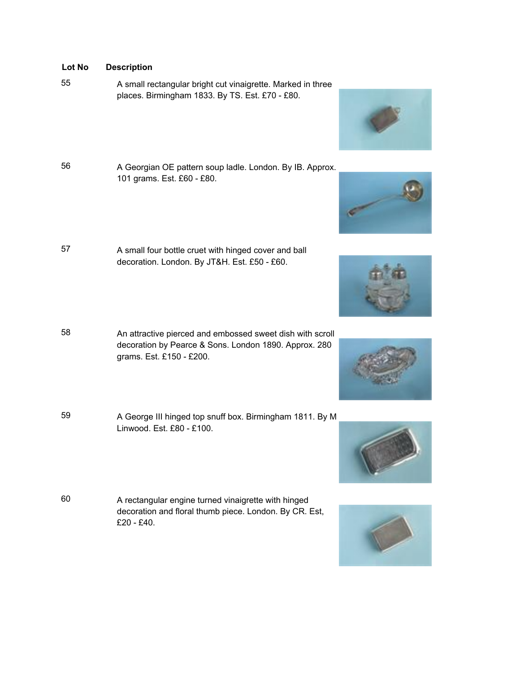- <sup>55</sup> A small rectangular bright cut vinaigrette. Marked in three places. Birmingham 1833. By TS. Est. £70 - £80.
- 
- <sup>56</sup> A Georgian OE pattern soup ladle. London. By IB. Approx. 101 grams. Est. £60 - £80.
- <sup>57</sup> A small four bottle cruet with hinged cover and ball decoration. London. By JT&H. Est. £50 - £60.
- <sup>58</sup> An attractive pierced and embossed sweet dish with scroll decoration by Pearce & Sons. London 1890. Approx. 280 grams. Est. £150 - £200.
- <sup>59</sup> A George III hinged top snuff box. Birmingham 1811. By M Linwood. Est. £80 - £100.
- <sup>60</sup> A rectangular engine turned vinaigrette with hinged decoration and floral thumb piece. London. By CR. Est, £20 - £40.









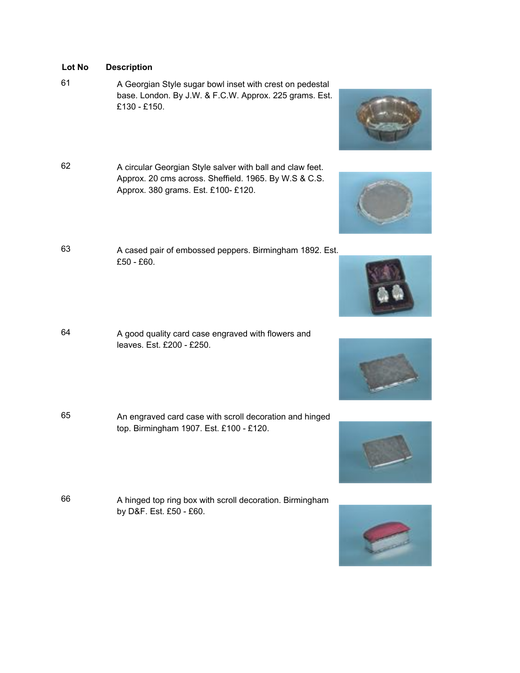- <sup>61</sup> A Georgian Style sugar bowl inset with crest on pedestal base. London. By J.W. & F.C.W. Approx. 225 grams. Est. £130 - £150.
- <sup>62</sup> A circular Georgian Style salver with ball and claw feet. Approx. 20 cms across. Sheffield. 1965. By W.S & C.S. Approx. 380 grams. Est. £100- £120.
- <sup>63</sup> A cased pair of embossed peppers. Birmingham 1892. Est. £50 - £60.
- <sup>64</sup> A good quality card case engraved with flowers and leaves. Est. £200 - £250.
- <sup>65</sup> An engraved card case with scroll decoration and hinged top. Birmingham 1907. Est. £100 - £120.
- <sup>66</sup> A hinged top ring box with scroll decoration. Birmingham by D&F. Est. £50 - £60.















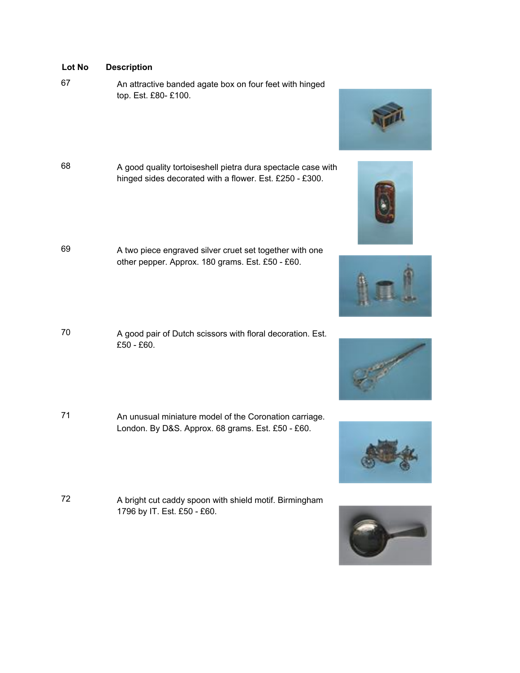<sup>67</sup> An attractive banded agate box on four feet with hinged top. Est. £80- £100.

- <sup>68</sup> A good quality tortoiseshell pietra dura spectacle case with hinged sides decorated with a flower. Est. £250 - £300.
- <sup>69</sup> A two piece engraved silver cruet set together with one other pepper. Approx. 180 grams. Est. £50 - £60.
- <sup>70</sup> A good pair of Dutch scissors with floral decoration. Est. £50 - £60.
- 71 An unusual miniature model of the Coronation carriage. London. By D&S. Approx. 68 grams. Est. £50 - £60.
- <sup>72</sup> A bright cut caddy spoon with shield motif. Birmingham 1796 by IT. Est. £50 - £60.









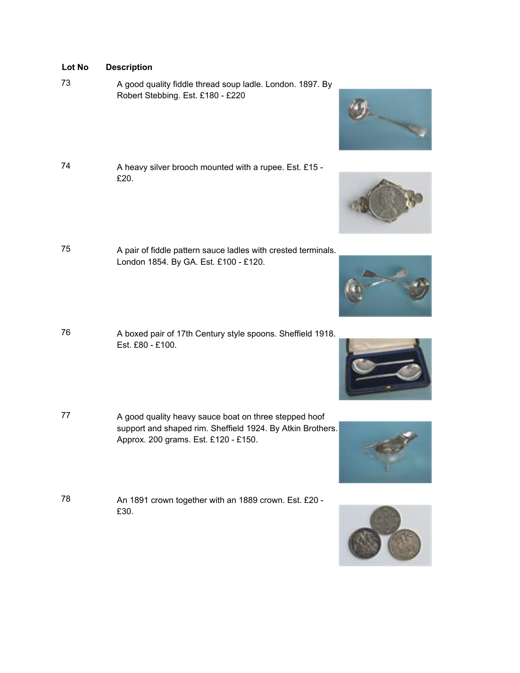- <sup>73</sup> A good quality fiddle thread soup ladle. London. 1897. By Robert Stebbing. Est. £180 - £220
- 74 A heavy silver brooch mounted with a rupee. Est. £15 -£20.
- <sup>75</sup> A pair of fiddle pattern sauce ladles with crested terminals. London 1854. By GA. Est. £100 - £120.
- <sup>76</sup> A boxed pair of 17th Century style spoons. Sheffield 1918. Est. £80 - £100.
- 77 A good quality heavy sauce boat on three stepped hoof support and shaped rim. Sheffield 1924. By Atkin Brothers. Approx. 200 grams. Est. £120 - £150.
- <sup>78</sup> An 1891 crown together with an 1889 crown. Est. £20 £30.









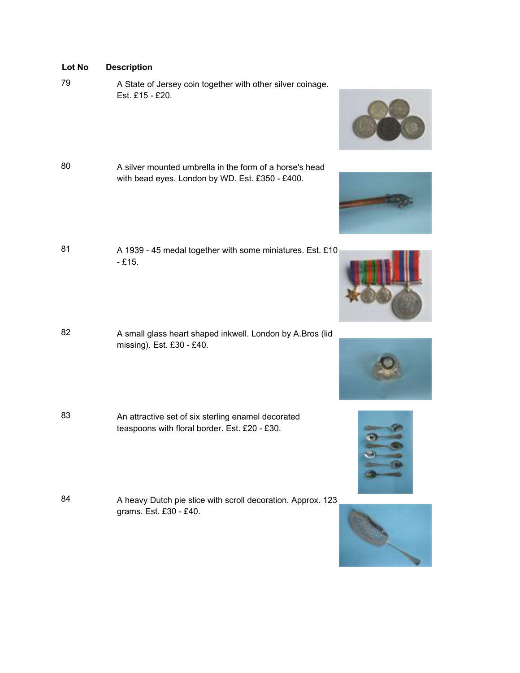- 
- 79 A State of Jersey coin together with other silver coinage. Est. £15 - £20.
- 80 A silver mounted umbrella in the form of a horse's head with bead eyes. London by WD. Est. £350 - £400.
- 81 A 1939 45 medal together with some miniatures. Est. £10 - £15.
- 82 A small glass heart shaped inkwell. London by A.Bros (lid missing). Est. £30 - £40.
- <sup>83</sup> An attractive set of six sterling enamel decorated teaspoons with floral border. Est. £20 - £30.
- 84 A heavy Dutch pie slice with scroll decoration. Approx. 123 grams. Est. £30 - £40.











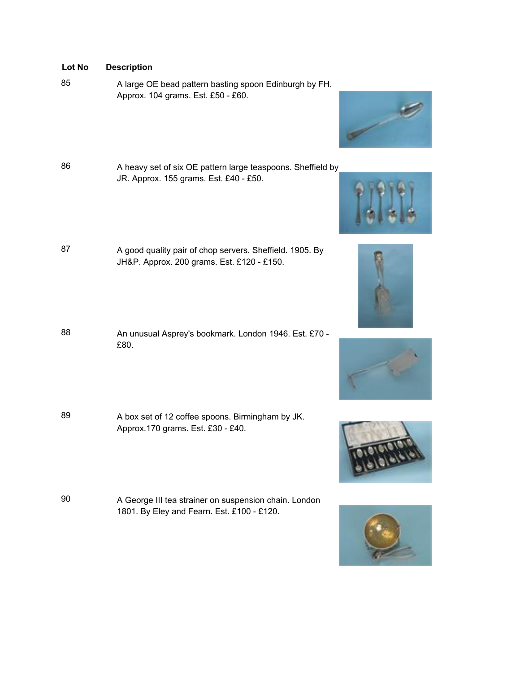- <sup>85</sup> A large OE bead pattern basting spoon Edinburgh by FH. Approx. 104 grams. Est. £50 - £60.
- 86 A heavy set of six OE pattern large teaspoons. Sheffield by JR. Approx. 155 grams. Est. £40 - £50.
- 87 A good quality pair of chop servers. Sheffield. 1905. By JH&P. Approx. 200 grams. Est. £120 - £150.
- 88 An unusual Asprey's bookmark. London 1946. Est. £70 -£80.
- 89 A box set of 12 coffee spoons. Birmingham by JK. Approx.170 grams. Est. £30 - £40.
- 90 A George III tea strainer on suspension chain. London 1801. By Eley and Fearn. Est. £100 - £120.











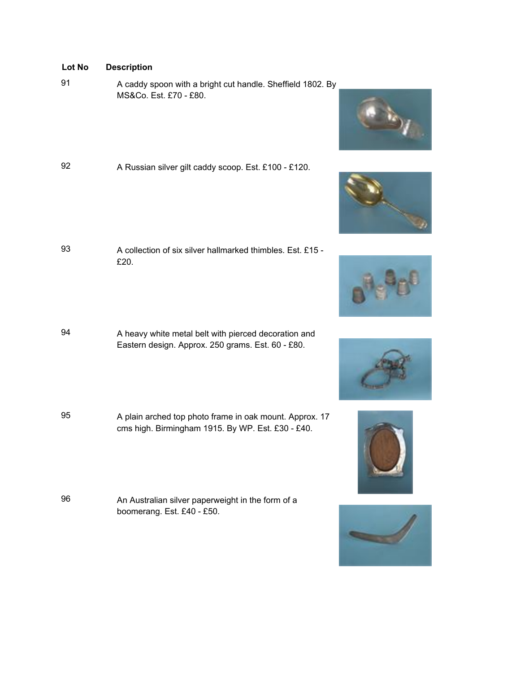- <sup>91</sup> A caddy spoon with a bright cut handle. Sheffield 1802. By MS&Co. Est. £70 - £80.
- 92 A Russian silver gilt caddy scoop. Est. £100 £120.

- 93 A collection of six silver hallmarked thimbles. Est. £15 -£20.
- 94 A heavy white metal belt with pierced decoration and Eastern design. Approx. 250 grams. Est. 60 - £80.
- <sup>95</sup> A plain arched top photo frame in oak mount. Approx. 17 cms high. Birmingham 1915. By WP. Est. £30 - £40.
- <sup>96</sup> An Australian silver paperweight in the form of a boomerang. Est. £40 - £50.











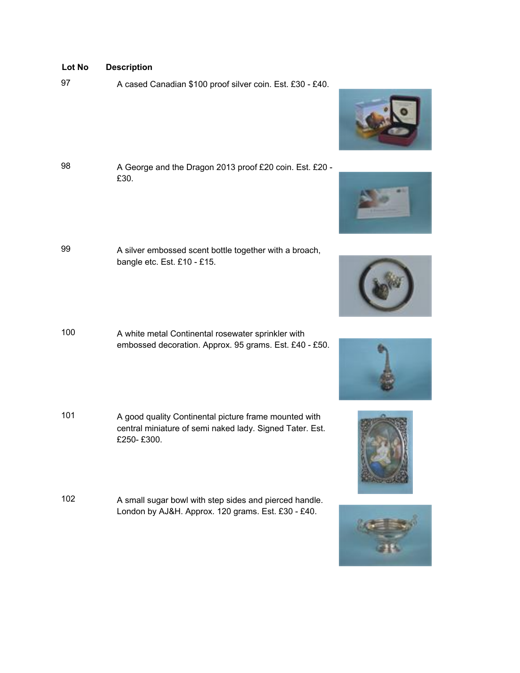97 A cased Canadian \$100 proof silver coin. Est. £30 - £40.





















- -
	- <sup>98</sup> A George and the Dragon 2013 proof £20 coin. Est. £20 £30.
	- <sup>99</sup> A silver embossed scent bottle together with a broach, bangle etc. Est. £10 - £15.
	- <sup>100</sup> A white metal Continental rosewater sprinkler with embossed decoration. Approx. 95 grams. Est. £40 - £50.
	- <sup>101</sup> A good quality Continental picture frame mounted with central miniature of semi naked lady. Signed Tater. Est. £250- £300.
	- <sup>102</sup> A small sugar bowl with step sides and pierced handle. London by AJ&H. Approx. 120 grams. Est. £30 - £40.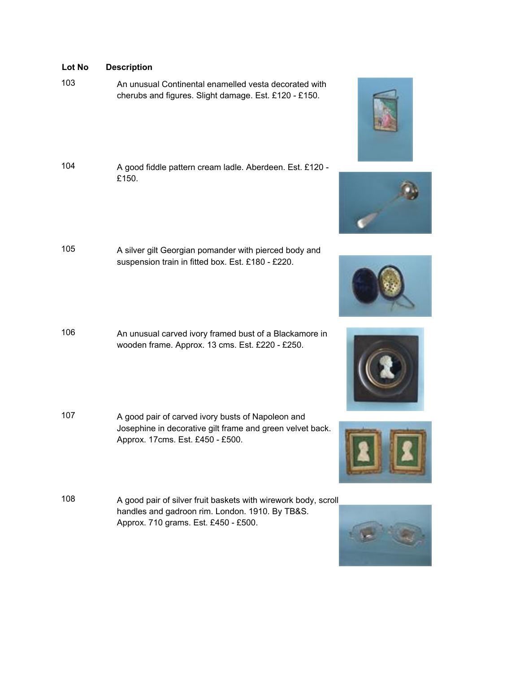- 103 An unusual Continental enamelled vesta decorated with cherubs and figures. Slight damage. Est. £120 - £150.
- <sup>104</sup> A good fiddle pattern cream ladle. Aberdeen. Est. £120 £150.
- <sup>105</sup> A silver gilt Georgian pomander with pierced body and suspension train in fitted box. Est. £180 - £220.
- <sup>106</sup> An unusual carved ivory framed bust of a Blackamore in wooden frame. Approx. 13 cms. Est. £220 - £250.
- <sup>107</sup> A good pair of carved ivory busts of Napoleon and Josephine in decorative gilt frame and green velvet back. Approx. 17cms. Est. £450 - £500.
- <sup>108</sup> A good pair of silver fruit baskets with wirework body, scroll handles and gadroon rim. London. 1910. By TB&S. Approx. 710 grams. Est. £450 - £500.











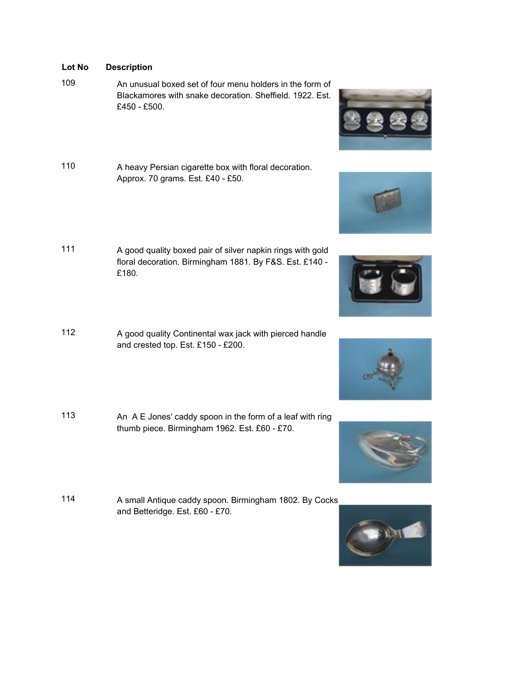109 An unusual boxed set of four menu holders in the form of Blackamores with snake decoration. Sheffield. 1922. Est. £450 - £500.

- <sup>110</sup> A heavy Persian cigarette box with floral decoration. Approx. 70 grams. Est. £40 - £50.
- <sup>111</sup> A good quality boxed pair of silver napkin rings with gold floral decoration. Birmingham 1881. By F&S. Est. £140 - £180.
- <sup>112</sup> A good quality Continental wax jack with pierced handle and crested top. Est. £150 - £200.
- <sup>113</sup> An A E Jones' caddy spoon in the form of a leaf with ring thumb piece. Birmingham 1962. Est. £60 - £70.
- 114 A small Antique caddy spoon. Birmingham 1802. By Cocks and Betteridge. Est. £60 - £70.











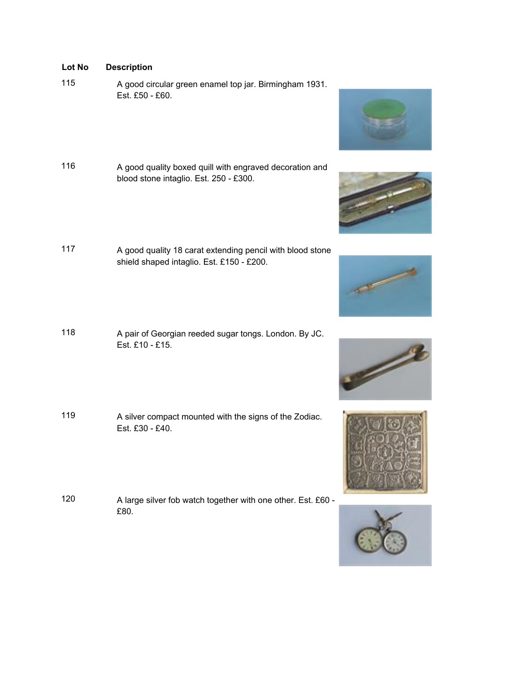- <sup>115</sup> A good circular green enamel top jar. Birmingham 1931. Est. £50 - £60.
- <sup>116</sup> A good quality boxed quill with engraved decoration and blood stone intaglio. Est. 250 - £300.
- <sup>117</sup> A good quality 18 carat extending pencil with blood stone shield shaped intaglio. Est. £150 - £200.
- <sup>118</sup> A pair of Georgian reeded sugar tongs. London. By JC. Est. £10 - £15.
- <sup>119</sup> A silver compact mounted with the signs of the Zodiac. Est. £30 - £40.
- <sup>120</sup> A large silver fob watch together with one other. Est. £60 £80.











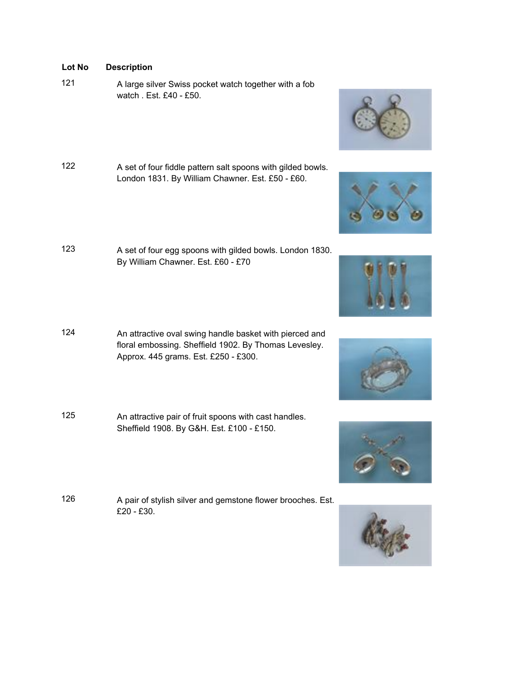- 121 A large silver Swiss pocket watch together with a fob watch . Est. £40 - £50.
- 122 A set of four fiddle pattern salt spoons with gilded bowls. London 1831. By William Chawner. Est. £50 - £60.
- <sup>123</sup> A set of four egg spoons with gilded bowls. London 1830. By William Chawner. Est. £60 - £70
- <sup>124</sup> An attractive oval swing handle basket with pierced and floral embossing. Sheffield 1902. By Thomas Levesley. Approx. 445 grams. Est. £250 - £300.
- <sup>125</sup> An attractive pair of fruit spoons with cast handles. Sheffield 1908. By G&H. Est. £100 - £150.
- <sup>126</sup> A pair of stylish silver and gemstone flower brooches. Est. £20 - £30.











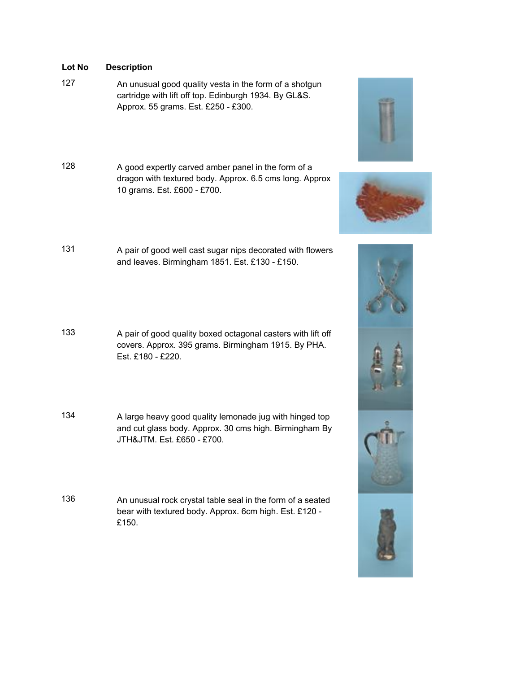<sup>127</sup> An unusual good quality vesta in the form of a shotgun cartridge with lift off top. Edinburgh 1934. By GL&S. Approx. 55 grams. Est. £250 - £300.

- <sup>128</sup> A good expertly carved amber panel in the form of a dragon with textured body. Approx. 6.5 cms long. Approx 10 grams. Est. £600 - £700.
- <sup>131</sup> A pair of good well cast sugar nips decorated with flowers and leaves. Birmingham 1851. Est. £130 - £150.
- 133 A pair of good quality boxed octagonal casters with lift off covers. Approx. 395 grams. Birmingham 1915. By PHA. Est. £180 - £220.
- <sup>134</sup> A large heavy good quality lemonade jug with hinged top and cut glass body. Approx. 30 cms high. Birmingham By JTH&JTM. Est. £650 - £700.
- <sup>136</sup> An unusual rock crystal table seal in the form of a seated bear with textured body. Approx. 6cm high. Est. £120 - £150.





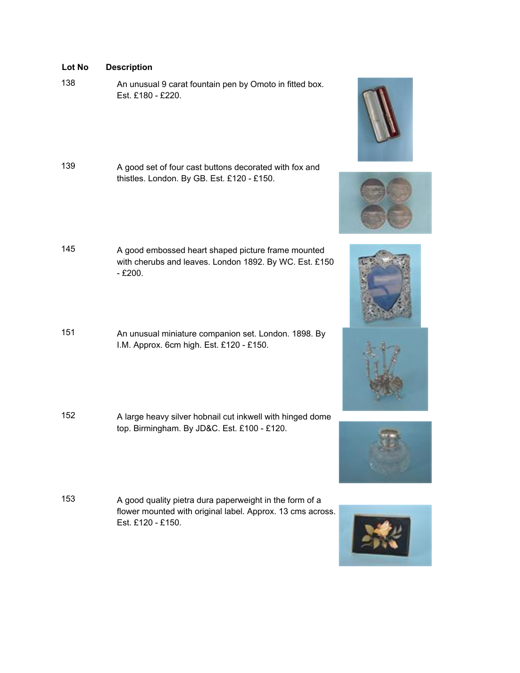- 
- <sup>138</sup> An unusual 9 carat fountain pen by Omoto in fitted box. Est. £180 - £220.
- <sup>139</sup> A good set of four cast buttons decorated with fox and thistles. London. By GB. Est. £120 - £150.
- <sup>145</sup> A good embossed heart shaped picture frame mounted with cherubs and leaves. London 1892. By WC. Est. £150 - £200.
- <sup>151</sup> An unusual miniature companion set. London. 1898. By I.M. Approx. 6cm high. Est. £120 - £150.
- <sup>152</sup> A large heavy silver hobnail cut inkwell with hinged dome top. Birmingham. By JD&C. Est. £100 - £120.
- <sup>153</sup> A good quality pietra dura paperweight in the form of a flower mounted with original label. Approx. 13 cms across. Est. £120 - £150.











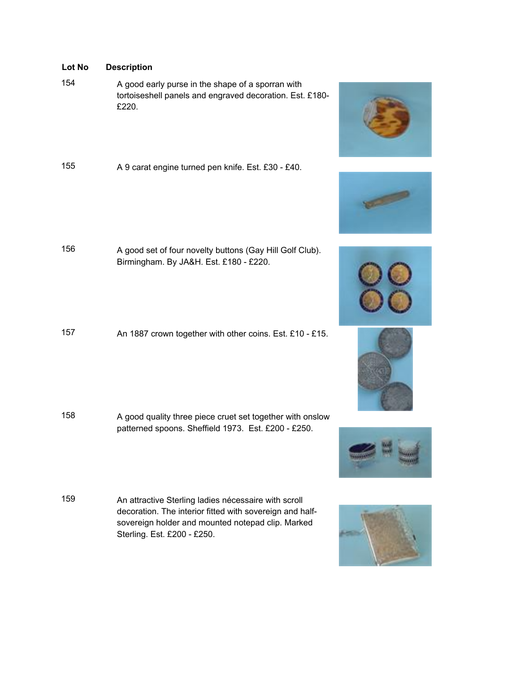<sup>154</sup> A good early purse in the shape of a sporran with tortoiseshell panels and engraved decoration. Est. £180- £220.

<sup>155</sup> A 9 carat engine turned pen knife. Est. £30 - £40.

- <sup>156</sup> A good set of four novelty buttons (Gay Hill Golf Club). Birmingham. By JA&H. Est. £180 - £220.
- <sup>157</sup> An 1887 crown together with other coins. Est. £10 £15.

- <sup>158</sup> A good quality three piece cruet set together with onslow patterned spoons. Sheffield 1973. Est. £200 - £250.
- <sup>159</sup> An attractive Sterling ladies nécessaire with scroll decoration. The interior fitted with sovereign and halfsovereign holder and mounted notepad clip. Marked Sterling. Est. £200 - £250.













- 
-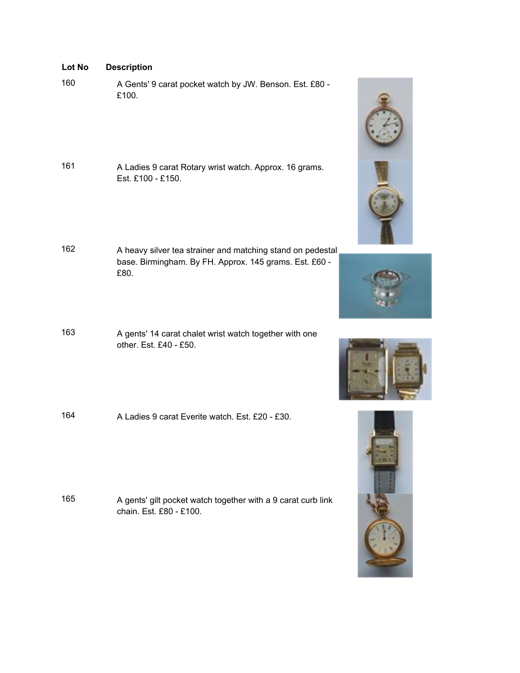| Lot No | <b>Description</b> |
|--------|--------------------|
|--------|--------------------|

- <sup>160</sup> A Gents' 9 carat pocket watch by JW. Benson. Est. £80 £100.
- <sup>161</sup> A Ladies 9 carat Rotary wrist watch. Approx. 16 grams. Est. £100 - £150.
- 162 A heavy silver tea strainer and matching stand on pedestal base. Birmingham. By FH. Approx. 145 grams. Est. £60 - £80.
- <sup>163</sup> A gents' 14 carat chalet wrist watch together with one other. Est. £40 - £50.
- 164 A Ladies 9 carat Everite watch. Est. £20 £30.

<sup>165</sup> A gents' gilt pocket watch together with a 9 carat curb link chain. Est. £80 - £100.







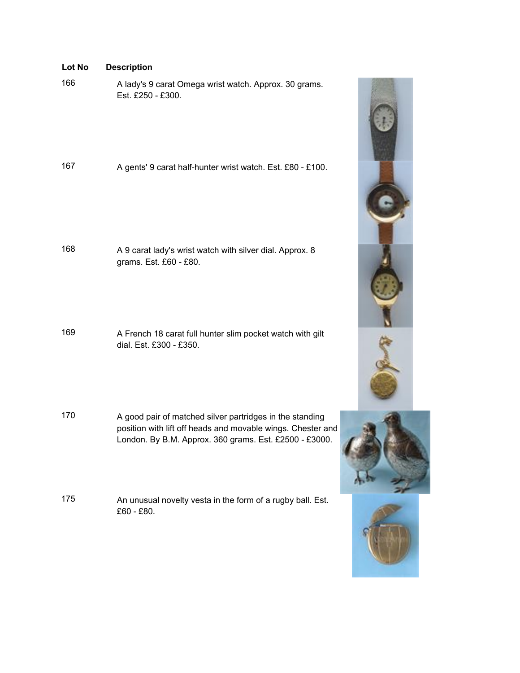| Lot No | <b>Description</b> |
|--------|--------------------|
|--------|--------------------|

<sup>166</sup> A lady's 9 carat Omega wrist watch. Approx. 30 grams. Est. £250 - £300.

| 167 | A gents' 9 carat half-hunter wrist watch. Est. £80 - £100. |
|-----|------------------------------------------------------------|
|-----|------------------------------------------------------------|

<sup>168</sup> A 9 carat lady's wrist watch with silver dial. Approx. 8 grams. Est. £60 - £80.

<sup>169</sup> A French 18 carat full hunter slim pocket watch with gilt dial. Est. £300 - £350.

- <sup>170</sup> A good pair of matched silver partridges in the standing position with lift off heads and movable wings. Chester and London. By B.M. Approx. 360 grams. Est. £2500 - £3000.
- <sup>175</sup> An unusual novelty vesta in the form of a rugby ball. Est. £60 - £80.





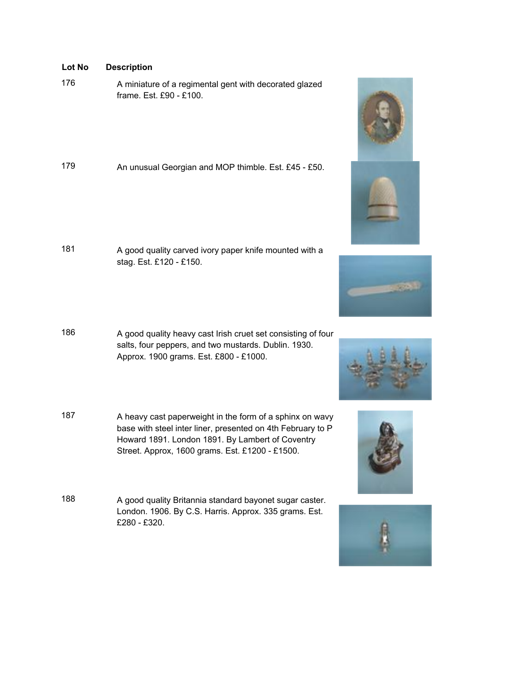<sup>176</sup> A miniature of a regimental gent with decorated glazed frame. Est. £90 - £100.

| 179<br>An unusual Georgian and MOP thimble. Est. £45 - £50. |  |
|-------------------------------------------------------------|--|
|-------------------------------------------------------------|--|

- <sup>181</sup> A good quality carved ivory paper knife mounted with a stag. Est. £120 - £150.
- 186 A good quality heavy cast Irish cruet set consisting of four salts, four peppers, and two mustards. Dublin. 1930. Approx. 1900 grams. Est. £800 - £1000.
- 187 A heavy cast paperweight in the form of a sphinx on wavy base with steel inter liner, presented on 4th February to P Howard 1891. London 1891. By Lambert of Coventry Street. Approx, 1600 grams. Est. £1200 - £1500.
- <sup>188</sup> A good quality Britannia standard bayonet sugar caster. London. 1906. By C.S. Harris. Approx. 335 grams. Est. £280 - £320.









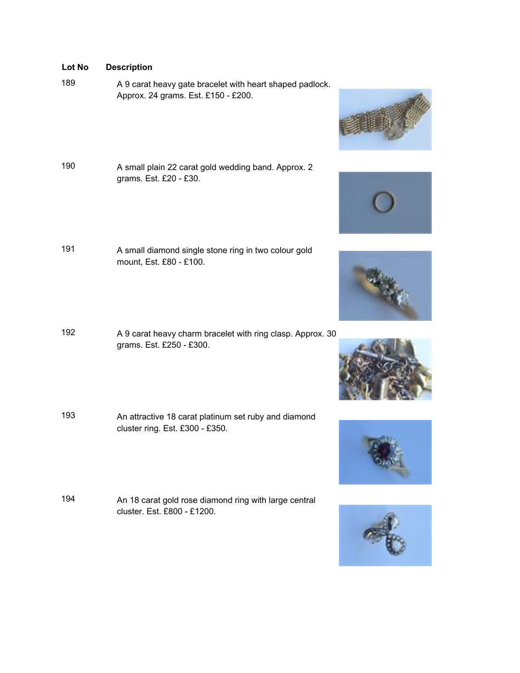- 189 A 9 carat heavy gate bracelet with heart shaped padlock. Approx. 24 grams. Est. £150 - £200.
- <sup>190</sup> A small plain 22 carat gold wedding band. Approx. 2 grams. Est. £20 - £30.
- <sup>191</sup> A small diamond single stone ring in two colour gold mount, Est. £80 - £100.
- <sup>192</sup> A 9 carat heavy charm bracelet with ring clasp. Approx. 30 grams. Est. £250 - £300.
- <sup>193</sup> An attractive 18 carat platinum set ruby and diamond cluster ring. Est. £300 - £350.
- <sup>194</sup> An 18 carat gold rose diamond ring with large central cluster. Est. £800 - £1200.











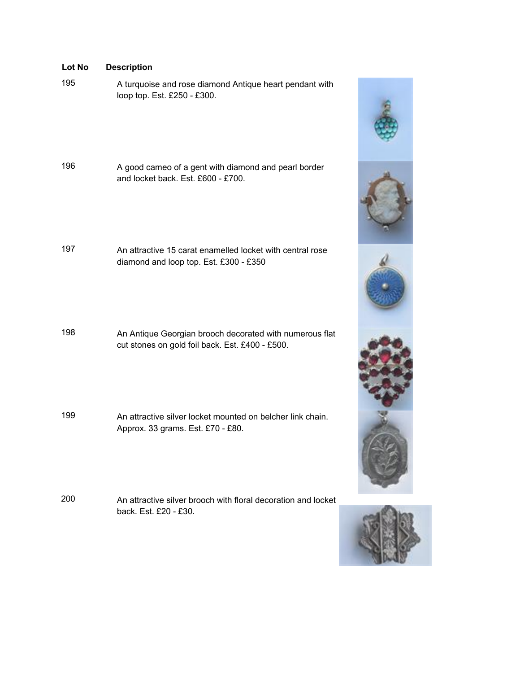<sup>195</sup> A turquoise and rose diamond Antique heart pendant with loop top. Est. £250 - £300.

<sup>196</sup> A good cameo of a gent with diamond and pearl border and locket back. Est. £600 - £700.

197 An attractive 15 carat enamelled locket with central rose diamond and loop top. Est. £300 - £350

<sup>198</sup> An Antique Georgian brooch decorated with numerous flat cut stones on gold foil back. Est. £400 - £500.

199 An attractive silver locket mounted on belcher link chain. Approx. 33 grams. Est. £70 - £80.

200 An attractive silver brooch with floral decoration and locket back. Est. £20 - £30.



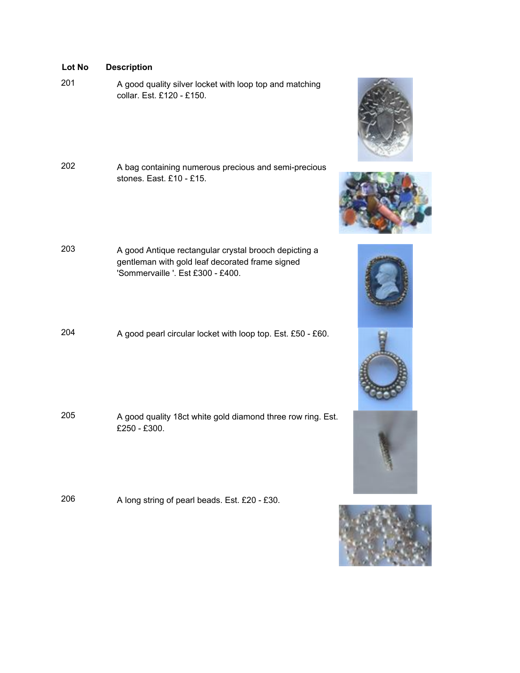| LUL IVU | Description                                                                                                                                   |  |
|---------|-----------------------------------------------------------------------------------------------------------------------------------------------|--|
| 201     | A good quality silver locket with loop top and matching<br>collar. Est. £120 - £150.                                                          |  |
| 202     | A bag containing numerous precious and semi-precious<br>stones. East. £10 - £15.                                                              |  |
| 203     | A good Antique rectangular crystal brooch depicting a<br>gentleman with gold leaf decorated frame signed<br>'Sommervaille '. Est £300 - £400. |  |
| 204     | A good pearl circular locket with loop top. Est. £50 - £60.                                                                                   |  |
| 205     | A good quality 18ct white gold diamond three row ring. Est.<br>£250 - £300.                                                                   |  |

<sup>206</sup> A long string of pearl beads. Est. £20 - £30.











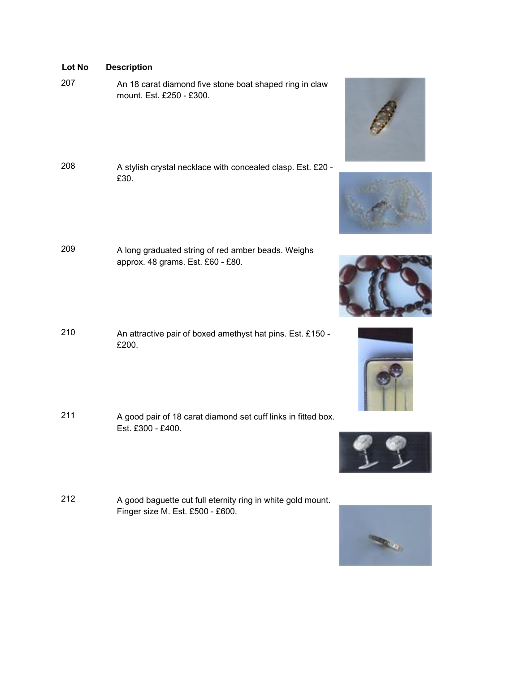<sup>207</sup> An 18 carat diamond five stone boat shaped ring in claw mount. Est. £250 - £300.

- <sup>208</sup> A stylish crystal necklace with concealed clasp. Est. £20 £30.
- <sup>209</sup> A long graduated string of red amber beads. Weighs approx. 48 grams. Est. £60 - £80.
- <sup>210</sup> An attractive pair of boxed amethyst hat pins. Est. £150 £200.
- <sup>211</sup> A good pair of 18 carat diamond set cuff links in fitted box. Est. £300 - £400.
- <sup>212</sup> A good baguette cut full eternity ring in white gold mount. Finger size M. Est. £500 - £600.











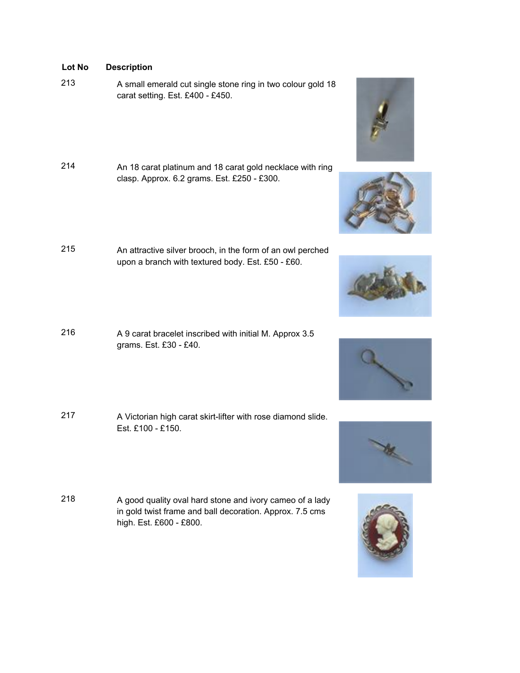- <sup>213</sup> A small emerald cut single stone ring in two colour gold 18 carat setting. Est. £400 - £450.
- <sup>214</sup> An 18 carat platinum and 18 carat gold necklace with ring clasp. Approx. 6.2 grams. Est. £250 - £300.
- <sup>215</sup> An attractive silver brooch, in the form of an owl perched upon a branch with textured body. Est. £50 - £60.
- <sup>216</sup> A 9 carat bracelet inscribed with initial M. Approx 3.5 grams. Est. £30 - £40.
- 217 A Victorian high carat skirt-lifter with rose diamond slide. Est. £100 - £150.
- <sup>218</sup> A good quality oval hard stone and ivory cameo of a lady in gold twist frame and ball decoration. Approx. 7.5 cms high. Est. £600 - £800.











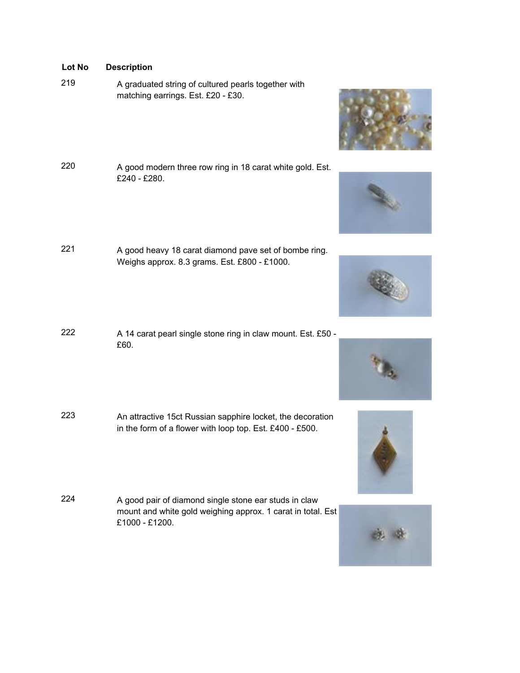- <sup>219</sup> A graduated string of cultured pearls together with matching earrings. Est. £20 - £30.
- <sup>220</sup> A good modern three row ring in 18 carat white gold. Est. £240 - £280.
- <sup>221</sup> A good heavy 18 carat diamond pave set of bombe ring. Weighs approx. 8.3 grams. Est. £800 - £1000.
- <sup>222</sup> A 14 carat pearl single stone ring in claw mount. Est. £50 £60.
- <sup>223</sup> An attractive 15ct Russian sapphire locket, the decoration in the form of a flower with loop top. Est. £400 - £500.
- <sup>224</sup> A good pair of diamond single stone ear studs in claw mount and white gold weighing approx. 1 carat in total. Est £1000 - £1200.











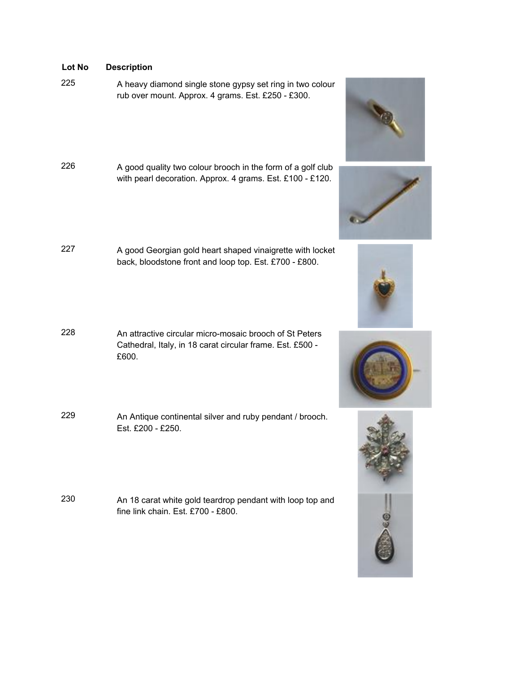- 
- <sup>225</sup> A heavy diamond single stone gypsy set ring in two colour rub over mount. Approx. 4 grams. Est. £250 - £300.
- <sup>226</sup> A good quality two colour brooch in the form of a golf club with pearl decoration. Approx. 4 grams. Est. £100 - £120.
- <sup>227</sup> A good Georgian gold heart shaped vinaigrette with locket back, bloodstone front and loop top. Est. £700 - £800.
- 228 An attractive circular micro-mosaic brooch of St Peters Cathedral, Italy, in 18 carat circular frame. Est. £500 - £600.
- <sup>229</sup> An Antique continental silver and ruby pendant / brooch. Est. £200 - £250.
- <sup>230</sup> An 18 carat white gold teardrop pendant with loop top and fine link chain. Est. £700 - £800.









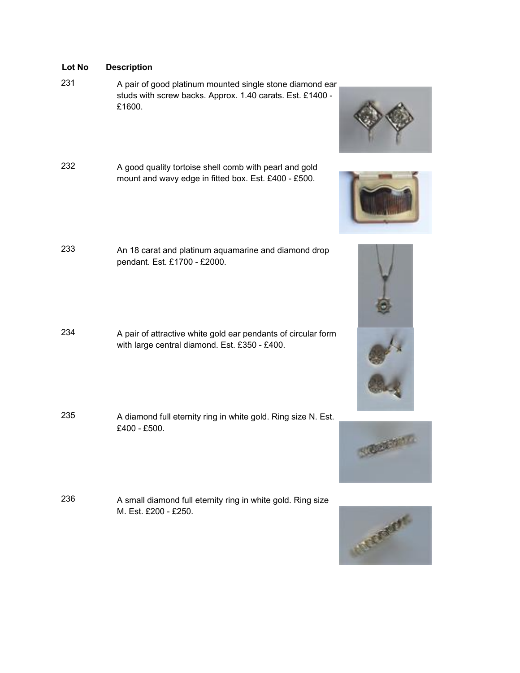- <sup>231</sup> A pair of good platinum mounted single stone diamond ear studs with screw backs. Approx. 1.40 carats. Est. £1400 - £1600.
- <sup>232</sup> A good quality tortoise shell comb with pearl and gold mount and wavy edge in fitted box. Est. £400 - £500.
- <sup>233</sup> An 18 carat and platinum aquamarine and diamond drop pendant. Est. £1700 - £2000.
- <sup>234</sup> A pair of attractive white gold ear pendants of circular form with large central diamond. Est. £350 - £400.
- <sup>235</sup> A diamond full eternity ring in white gold. Ring size N. Est. £400 - £500.
- <sup>236</sup> A small diamond full eternity ring in white gold. Ring size M. Est. £200 - £250.









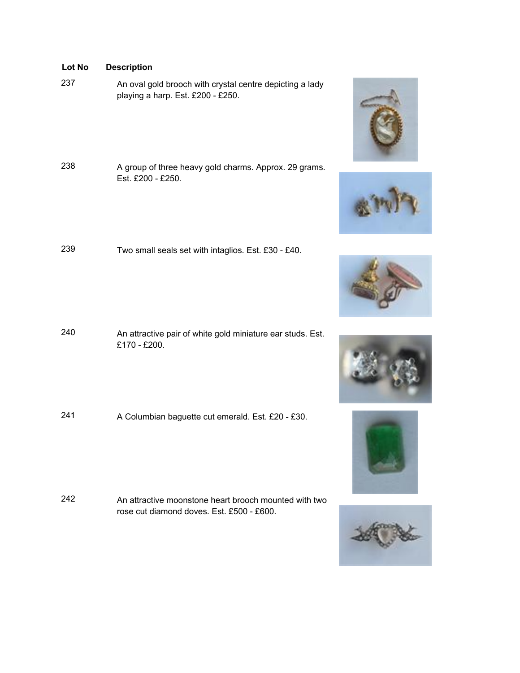- <sup>237</sup> An oval gold brooch with crystal centre depicting a lady playing a harp. Est. £200 - £250.
- <sup>238</sup> A group of three heavy gold charms. Approx. 29 grams. Est. £200 - £250.
- <sup>239</sup> Two small seals set with intaglios. Est. £30 £40.

- <sup>240</sup> An attractive pair of white gold miniature ear studs. Est. £170 - £200.
- <sup>241</sup> A Columbian baguette cut emerald. Est. £20 £30.

242 An attractive moonstone heart brooch mounted with two rose cut diamond doves. Est. £500 - £600.











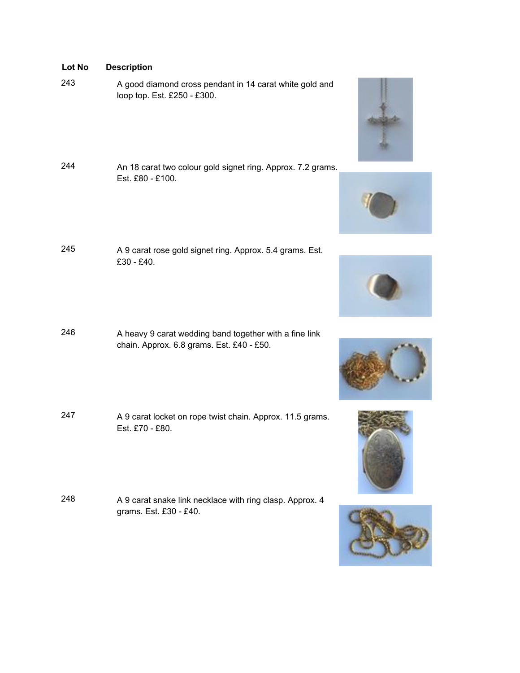- <sup>243</sup> A good diamond cross pendant in 14 carat white gold and loop top. Est. £250 - £300.
- <sup>244</sup> An 18 carat two colour gold signet ring. Approx. 7.2 grams. Est. £80 - £100.
- <sup>245</sup> A 9 carat rose gold signet ring. Approx. 5.4 grams. Est. £30 - £40.
- <sup>246</sup> A heavy 9 carat wedding band together with a fine link chain. Approx. 6.8 grams. Est. £40 - £50.
- <sup>247</sup> A 9 carat locket on rope twist chain. Approx. 11.5 grams. Est. £70 - £80.
- <sup>248</sup> A 9 carat snake link necklace with ring clasp. Approx. 4 grams. Est. £30 - £40.











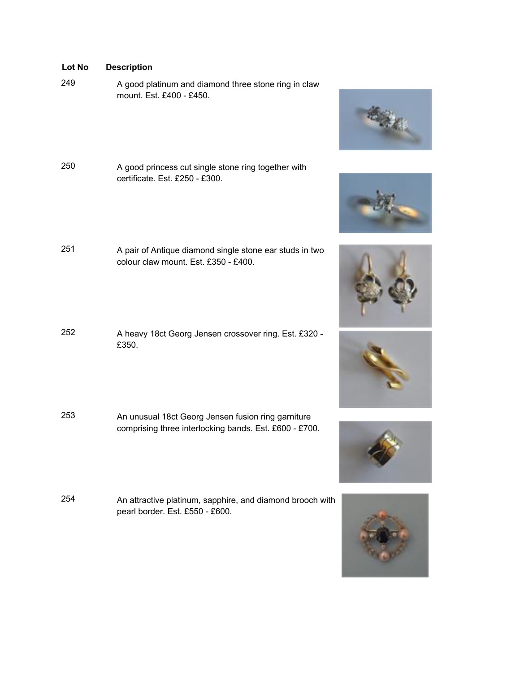- <sup>249</sup> A good platinum and diamond three stone ring in claw mount. Est. £400 - £450.
- <sup>250</sup> A good princess cut single stone ring together with certificate. Est. £250 - £300.
- <sup>251</sup> A pair of Antique diamond single stone ear studs in two colour claw mount. Est. £350 - £400.
- <sup>252</sup> A heavy 18ct Georg Jensen crossover ring. Est. £320 £350.
- <sup>253</sup> An unusual 18ct Georg Jensen fusion ring garniture comprising three interlocking bands. Est. £600 - £700.
- <sup>254</sup> An attractive platinum, sapphire, and diamond brooch with pearl border. Est. £550 - £600.











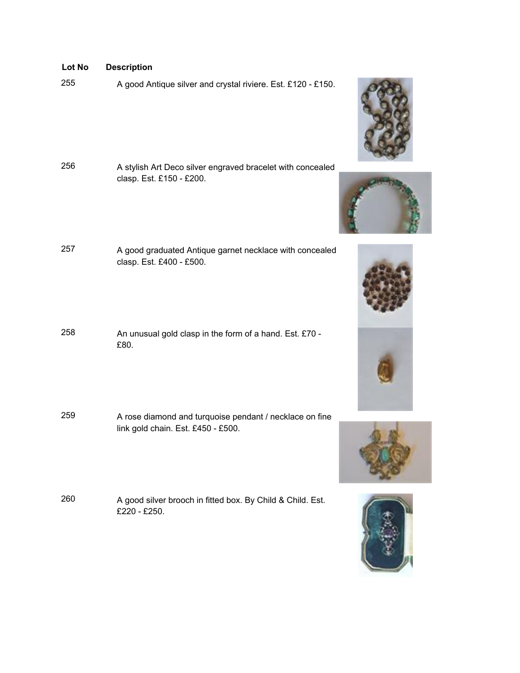<sup>255</sup> A good Antique silver and crystal riviere. Est. £120 - £150.

- <sup>256</sup> A stylish Art Deco silver engraved bracelet with concealed clasp. Est. £150 - £200.
- <sup>257</sup> A good graduated Antique garnet necklace with concealed clasp. Est. £400 - £500.
- <sup>258</sup> An unusual gold clasp in the form of a hand. Est. £70 £80.
- <sup>259</sup> A rose diamond and turquoise pendant / necklace on fine link gold chain. Est. £450 - £500.
- <sup>260</sup> A good silver brooch in fitted box. By Child & Child. Est. £220 - £250.









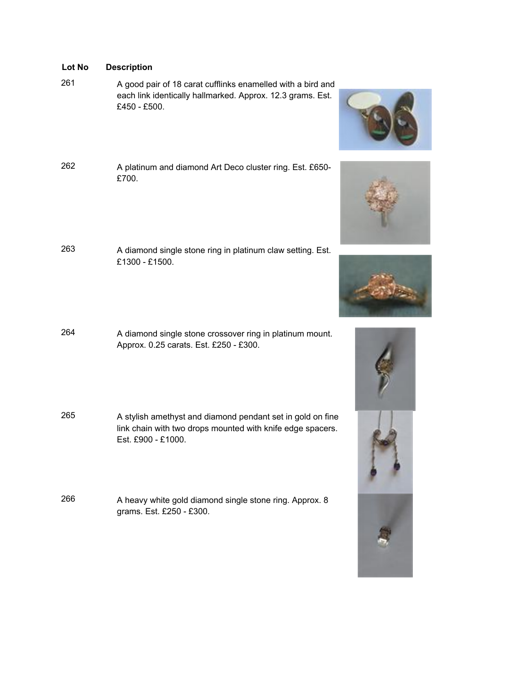- <sup>261</sup> A good pair of 18 carat cufflinks enamelled with a bird and each link identically hallmarked. Approx. 12.3 grams. Est. £450 - £500.
- <sup>262</sup> A platinum and diamond Art Deco cluster ring. Est. £650- £700.
- <sup>263</sup> A diamond single stone ring in platinum claw setting. Est. £1300 - £1500.
- <sup>264</sup> A diamond single stone crossover ring in platinum mount. Approx. 0.25 carats. Est. £250 - £300.
- <sup>265</sup> A stylish amethyst and diamond pendant set in gold on fine link chain with two drops mounted with knife edge spacers. Est. £900 - £1000.
- <sup>266</sup> A heavy white gold diamond single stone ring. Approx. 8 grams. Est. £250 - £300.









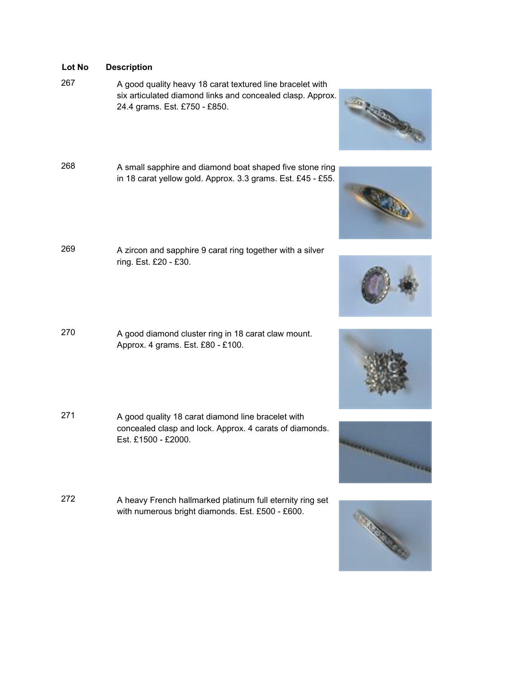<sup>267</sup> A good quality heavy 18 carat textured line bracelet with six articulated diamond links and concealed clasp. Approx. 24.4 grams. Est. £750 - £850.

- <sup>268</sup> A small sapphire and diamond boat shaped five stone ring in 18 carat yellow gold. Approx. 3.3 grams. Est. £45 - £55.
- <sup>269</sup> A zircon and sapphire 9 carat ring together with a silver ring. Est. £20 - £30.
- <sup>270</sup> A good diamond cluster ring in 18 carat claw mount. Approx. 4 grams. Est. £80 - £100.
- <sup>271</sup> A good quality 18 carat diamond line bracelet with concealed clasp and lock. Approx. 4 carats of diamonds. Est. £1500 - £2000.
- <sup>272</sup> A heavy French hallmarked platinum full eternity ring set with numerous bright diamonds. Est. £500 - £600.











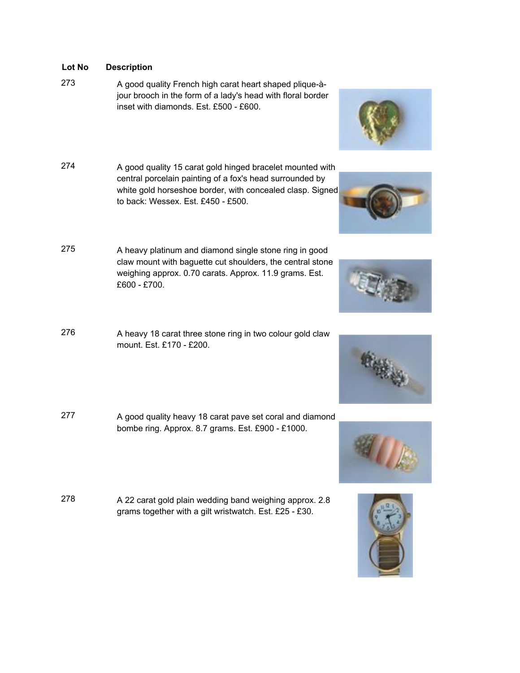- <sup>273</sup> A good quality French high carat heart shaped plique-àjour brooch in the form of a lady's head with floral border inset with diamonds. Est. £500 - £600.
- <sup>274</sup> A good quality 15 carat gold hinged bracelet mounted with central porcelain painting of a fox's head surrounded by white gold horseshoe border, with concealed clasp. Signed to back: Wessex. Est. £450 - £500.
- <sup>275</sup> A heavy platinum and diamond single stone ring in good claw mount with baguette cut shoulders, the central stone weighing approx. 0.70 carats. Approx. 11.9 grams. Est. £600 - £700.
- 276 A heavy 18 carat three stone ring in two colour gold claw mount. Est. £170 - £200.
- <sup>277</sup> A good quality heavy 18 carat pave set coral and diamond bombe ring. Approx. 8.7 grams. Est. £900 - £1000.
- <sup>278</sup> A 22 carat gold plain wedding band weighing approx. 2.8 grams together with a gilt wristwatch. Est. £25 - £30.











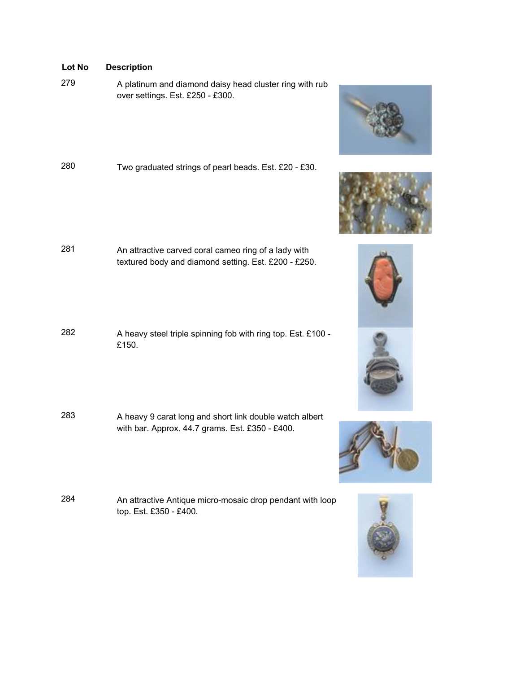<sup>279</sup> A platinum and diamond daisy head cluster ring with rub over settings. Est. £250 - £300.

<sup>280</sup> Two graduated strings of pearl beads. Est. £20 - £30.

- <sup>281</sup> An attractive carved coral cameo ring of a lady with textured body and diamond setting. Est. £200 - £250.
- <sup>282</sup> A heavy steel triple spinning fob with ring top. Est. £100 £150.
- <sup>283</sup> A heavy 9 carat long and short link double watch albert with bar. Approx. 44.7 grams. Est. £350 - £400.
- <sup>284</sup> An attractive Antique micro-mosaic drop pendant with loop top. Est. £350 - £400.











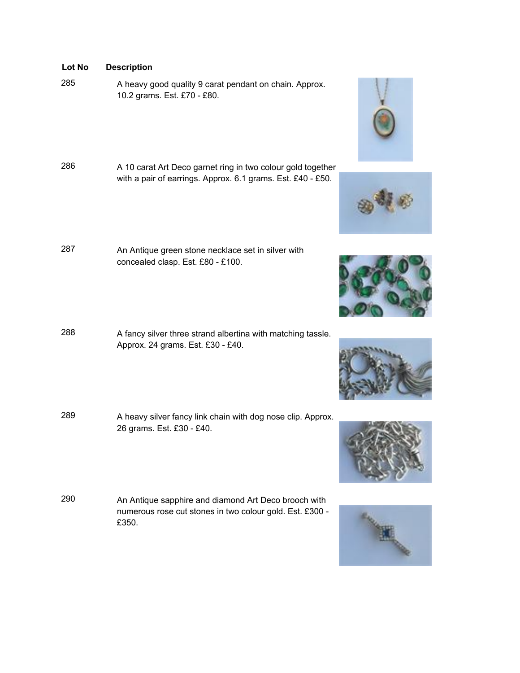<sup>285</sup> A heavy good quality 9 carat pendant on chain. Approx. 10.2 grams. Est. £70 - £80.

- <sup>286</sup> A 10 carat Art Deco garnet ring in two colour gold together with a pair of earrings. Approx. 6.1 grams. Est. £40 - £50.
- <sup>287</sup> An Antique green stone necklace set in silver with concealed clasp. Est. £80 - £100.
- <sup>288</sup> A fancy silver three strand albertina with matching tassle. Approx. 24 grams. Est. £30 - £40.
- 289 A heavy silver fancy link chain with dog nose clip. Approx. 26 grams. Est. £30 - £40.
- <sup>290</sup> An Antique sapphire and diamond Art Deco brooch with numerous rose cut stones in two colour gold. Est. £300 - £350.











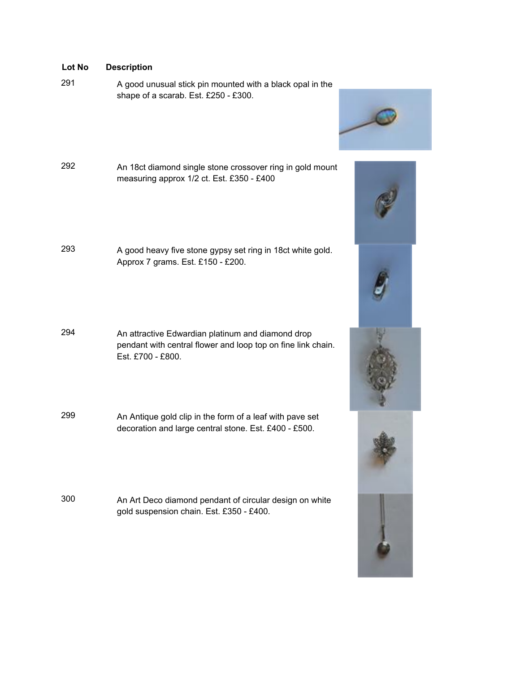<sup>291</sup> A good unusual stick pin mounted with a black opal in the shape of a scarab. Est. £250 - £300.



- <sup>292</sup> An 18ct diamond single stone crossover ring in gold mount measuring approx 1/2 ct. Est. £350 - £400
- <sup>293</sup> A good heavy five stone gypsy set ring in 18ct white gold. Approx 7 grams. Est. £150 - £200.
- <sup>294</sup> An attractive Edwardian platinum and diamond drop pendant with central flower and loop top on fine link chain. Est. £700 - £800.
- <sup>299</sup> An Antique gold clip in the form of a leaf with pave set decoration and large central stone. Est. £400 - £500.
- <sup>300</sup> An Art Deco diamond pendant of circular design on white gold suspension chain. Est. £350 - £400.





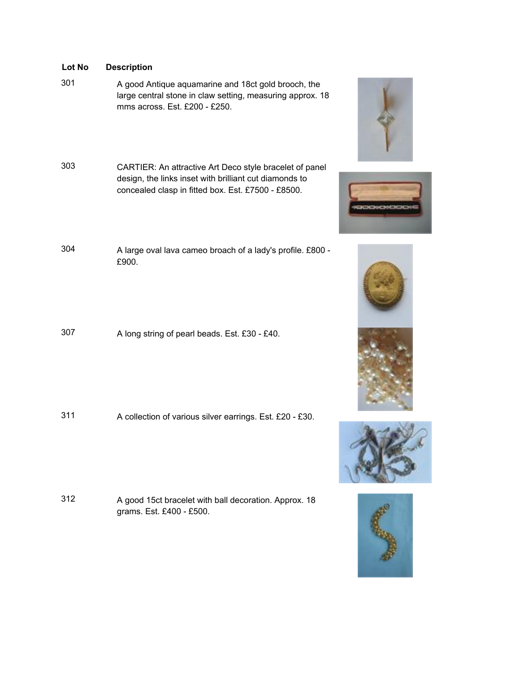<sup>301</sup> A good Antique aquamarine and 18ct gold brooch, the large central stone in claw setting, measuring approx. 18 mms across. Est. £200 - £250.

- <sup>303</sup> CARTIER: An attractive Art Deco style bracelet of panel design, the links inset with brilliant cut diamonds to concealed clasp in fitted box. Est. £7500 - £8500.
- <sup>304</sup> A large oval lava cameo broach of a lady's profile. £800 £900.
- <sup>307</sup> A long string of pearl beads. Est. £30 £40.

<sup>311</sup> A collection of various silver earrings. Est. £20 - £30.

<sup>312</sup> A good 15ct bracelet with ball decoration. Approx. 18 grams. Est. £400 - £500.











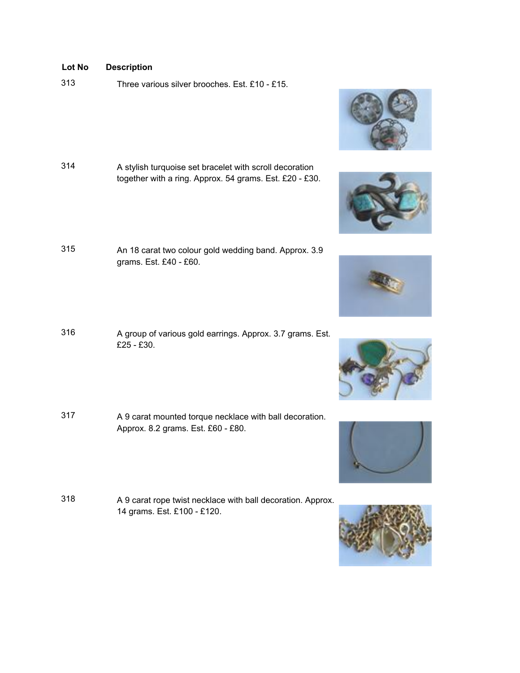313 Three various silver brooches. Est. £10 - £15.

- <sup>314</sup> A stylish turquoise set bracelet with scroll decoration together with a ring. Approx. 54 grams. Est. £20 - £30.
- <sup>315</sup> An 18 carat two colour gold wedding band. Approx. 3.9 grams. Est. £40 - £60.
- <sup>316</sup> A group of various gold earrings. Approx. 3.7 grams. Est. £25 - £30.
- <sup>317</sup> A 9 carat mounted torque necklace with ball decoration. Approx. 8.2 grams. Est. £60 - £80.
- <sup>318</sup> A 9 carat rope twist necklace with ball decoration. Approx. 14 grams. Est. £100 - £120.











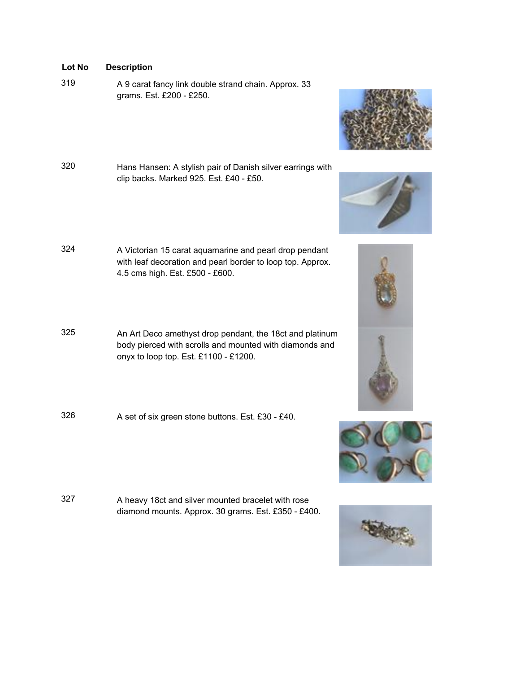- <sup>319</sup> A 9 carat fancy link double strand chain. Approx. 33 grams. Est. £200 - £250.
- <sup>320</sup> Hans Hansen: A stylish pair of Danish silver earrings with clip backs. Marked 925. Est. £40 - £50.
- <sup>324</sup> A Victorian 15 carat aquamarine and pearl drop pendant with leaf decoration and pearl border to loop top. Approx. 4.5 cms high. Est. £500 - £600.
- <sup>325</sup> An Art Deco amethyst drop pendant, the 18ct and platinum body pierced with scrolls and mounted with diamonds and onyx to loop top. Est. £1100 - £1200.
- <sup>326</sup> A set of six green stone buttons. Est. £30 £40.

<sup>327</sup> A heavy 18ct and silver mounted bracelet with rose diamond mounts. Approx. 30 grams. Est. £350 - £400.









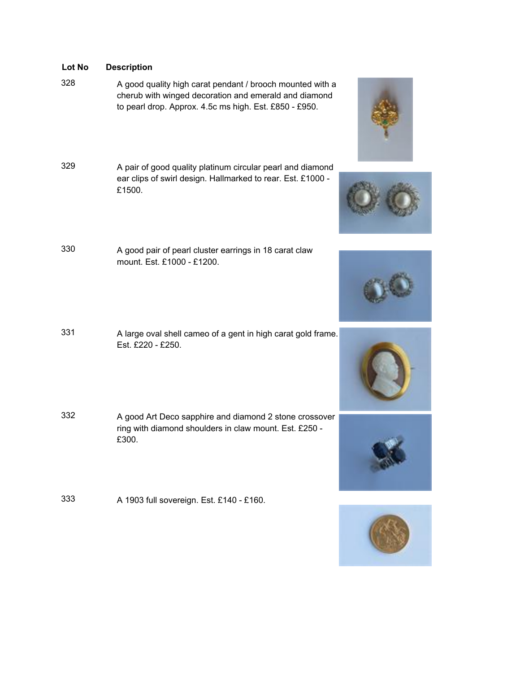- <sup>328</sup> A good quality high carat pendant / brooch mounted with a cherub with winged decoration and emerald and diamond to pearl drop. Approx. 4.5c ms high. Est. £850 - £950.
- <sup>329</sup> A pair of good quality platinum circular pearl and diamond ear clips of swirl design. Hallmarked to rear. Est. £1000 - £1500.
- <sup>330</sup> A good pair of pearl cluster earrings in 18 carat claw mount. Est. £1000 - £1200.
- <sup>331</sup> A large oval shell cameo of a gent in high carat gold frame. Est. £220 - £250.
- <sup>332</sup> A good Art Deco sapphire and diamond 2 stone crossover ring with diamond shoulders in claw mount. Est. £250 - £300.
- <sup>333</sup> A 1903 full sovereign. Est. £140 £160.











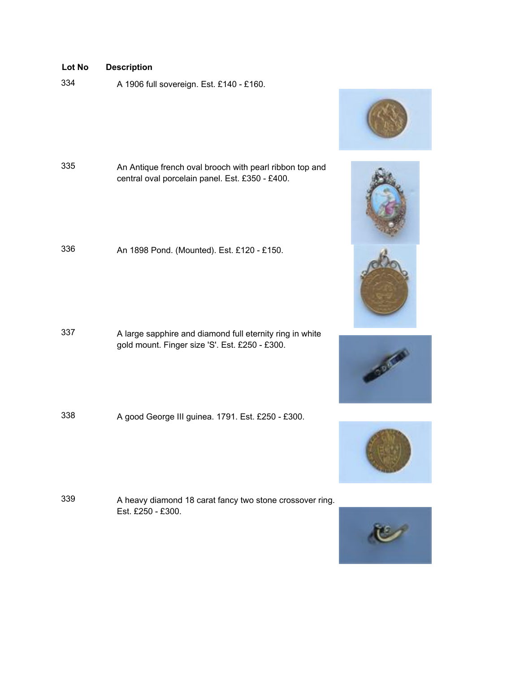<sup>334</sup> A 1906 full sovereign. Est. £140 - £160.



- <sup>335</sup> An Antique french oval brooch with pearl ribbon top and central oval porcelain panel. Est. £350 - £400.
- <sup>336</sup> An 1898 Pond. (Mounted). Est. £120 £150.

- <sup>337</sup> A large sapphire and diamond full eternity ring in white gold mount. Finger size 'S'. Est. £250 - £300.
- <sup>338</sup> A good George III guinea. 1791. Est. £250 £300.

<sup>339</sup> A heavy diamond 18 carat fancy two stone crossover ring. Est. £250 - £300.







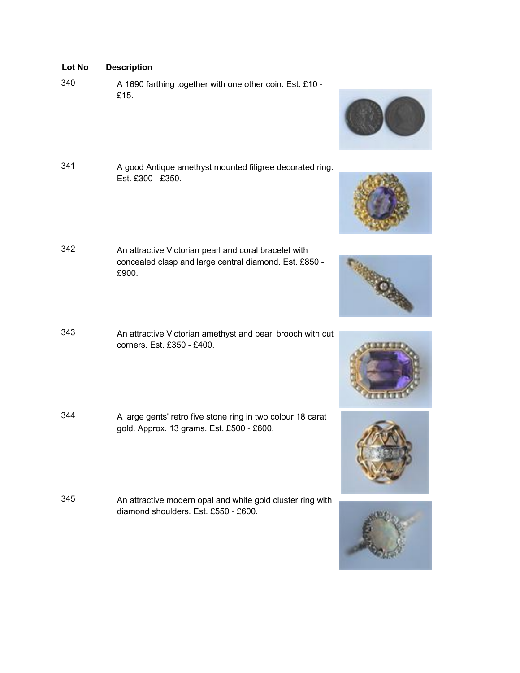- **Lot No Description**
- <sup>340</sup> A 1690 farthing together with one other coin. Est. £10 £15.
- <sup>341</sup> A good Antique amethyst mounted filigree decorated ring. Est. £300 - £350.
- <sup>342</sup> An attractive Victorian pearl and coral bracelet with concealed clasp and large central diamond. Est. £850 - £900.
- <sup>343</sup> An attractive Victorian amethyst and pearl brooch with cut corners. Est. £350 - £400.
- <sup>344</sup> A large gents' retro five stone ring in two colour 18 carat gold. Approx. 13 grams. Est. £500 - £600.
- <sup>345</sup> An attractive modern opal and white gold cluster ring with diamond shoulders. Est. £550 - £600.